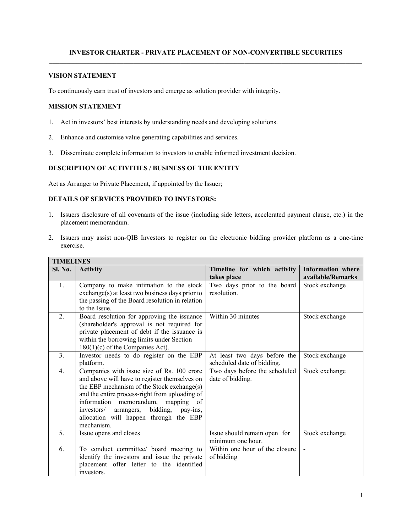## **INVESTOR CHARTER - PRIVATE PLACEMENT OF NON-CONVERTIBLE SECURITIES**

## **VISION STATEMENT**

To continuously earn trust of investors and emerge as solution provider with integrity.

#### **MISSION STATEMENT**

- 1. Act in investors' best interests by understanding needs and developing solutions.
- 2. Enhance and customise value generating capabilities and services.
- 3. Disseminate complete information to investors to enable informed investment decision.

# **DESCRIPTION OF ACTIVITIES / BUSINESS OF THE ENTITY**

Act as Arranger to Private Placement, if appointed by the Issuer;

### **DETAILS OF SERVICES PROVIDED TO INVESTORS:**

- 1. Issuers disclosure of all covenants of the issue (including side letters, accelerated payment clause, etc.) in the placement memorandum.
- 2. Issuers may assist non-QIB Investors to register on the electronic bidding provider platform as a one-time exercise.

| <b>TIMELINES</b> |                                                                                                                                                                                                                                                                                                                                               |                                                            |                                               |  |  |
|------------------|-----------------------------------------------------------------------------------------------------------------------------------------------------------------------------------------------------------------------------------------------------------------------------------------------------------------------------------------------|------------------------------------------------------------|-----------------------------------------------|--|--|
| Sl. No.          | <b>Activity</b>                                                                                                                                                                                                                                                                                                                               | Timeline for which activity<br>takes place                 | <b>Information</b> where<br>available/Remarks |  |  |
| 1.               | Company to make intimation to the stock<br>exchange(s) at least two business days prior to<br>the passing of the Board resolution in relation<br>to the Issue.                                                                                                                                                                                | Two days prior to the board<br>resolution.                 | Stock exchange                                |  |  |
| 2.               | Board resolution for approving the issuance<br>(shareholder's approval is not required for<br>private placement of debt if the issuance is<br>within the borrowing limits under Section<br>$180(1)(c)$ of the Companies Act).                                                                                                                 | Within 30 minutes                                          | Stock exchange                                |  |  |
| 3.               | Investor needs to do register on the EBP<br>platform.                                                                                                                                                                                                                                                                                         | At least two days before the<br>scheduled date of bidding. | Stock exchange                                |  |  |
| $\overline{4}$ . | Companies with issue size of Rs. 100 crore<br>and above will have to register themselves on<br>the EBP mechanism of the Stock exchange(s)<br>and the entire process-right from uploading of<br>information memorandum, mapping of<br>bidding,<br>investors/<br>arrangers,<br>pay-ins,<br>allocation will happen through the EBP<br>mechanism. | Two days before the scheduled<br>date of bidding.          | Stock exchange                                |  |  |
| 5                | Issue opens and closes                                                                                                                                                                                                                                                                                                                        | Issue should remain open for<br>minimum one hour.          | Stock exchange                                |  |  |
| 6.               | To conduct committee/ board meeting to<br>identify the investors and issue the private<br>placement offer letter to the identified<br>investors.                                                                                                                                                                                              | Within one hour of the closure<br>of bidding               | $\blacksquare$                                |  |  |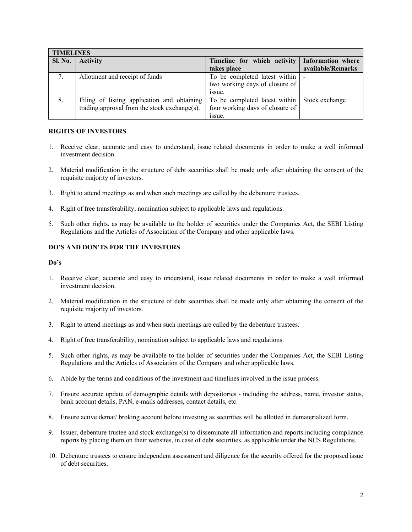| <b>TIMELINES</b> |                                              |                                   |                   |  |  |
|------------------|----------------------------------------------|-----------------------------------|-------------------|--|--|
| <b>Sl. No.</b>   | <b>Activity</b>                              | Timeline for which activity       | Information where |  |  |
|                  |                                              | takes place                       | available/Remarks |  |  |
| 7.               | Allotment and receipt of funds               | To be completed latest within   - |                   |  |  |
|                  |                                              | two working days of closure of    |                   |  |  |
|                  |                                              | issue.                            |                   |  |  |
| 8.               | Filing of listing application and obtaining  | To be completed latest within     | Stock exchange    |  |  |
|                  | trading approval from the stock exchange(s). | four working days of closure of   |                   |  |  |
|                  |                                              | issue.                            |                   |  |  |

#### **RIGHTS OF INVESTORS**

- 1. Receive clear, accurate and easy to understand, issue related documents in order to make a well informed investment decision.
- 2. Material modification in the structure of debt securities shall be made only after obtaining the consent of the requisite majority of investors.
- 3. Right to attend meetings as and when such meetings are called by the debenture trustees.
- 4. Right of free transferability, nomination subject to applicable laws and regulations.
- 5. Such other rights, as may be available to the holder of securities under the Companies Act, the SEBI Listing Regulations and the Articles of Association of the Company and other applicable laws.

## **DO'S AND DON'TS FOR THE INVESTORS**

#### **Do's**

- 1. Receive clear, accurate and easy to understand, issue related documents in order to make a well informed investment decision.
- 2. Material modification in the structure of debt securities shall be made only after obtaining the consent of the requisite majority of investors.
- 3. Right to attend meetings as and when such meetings are called by the debenture trustees.
- 4. Right of free transferability, nomination subject to applicable laws and regulations.
- 5. Such other rights, as may be available to the holder of securities under the Companies Act, the SEBI Listing Regulations and the Articles of Association of the Company and other applicable laws.
- 6. Abide by the terms and conditions of the investment and timelines involved in the issue process.
- 7. Ensure accurate update of demographic details with depositories including the address, name, investor status, bank account details, PAN, e-mails addresses, contact details, etc.
- 8. Ensure active demat/ broking account before investing as securities will be allotted in dematerialized form.
- 9. Issuer, debenture trustee and stock exchange(s) to disseminate all information and reports including compliance reports by placing them on their websites, in case of debt securities, as applicable under the NCS Regulations.
- 10. Debenture trustees to ensure independent assessment and diligence for the security offered for the proposed issue of debt securities.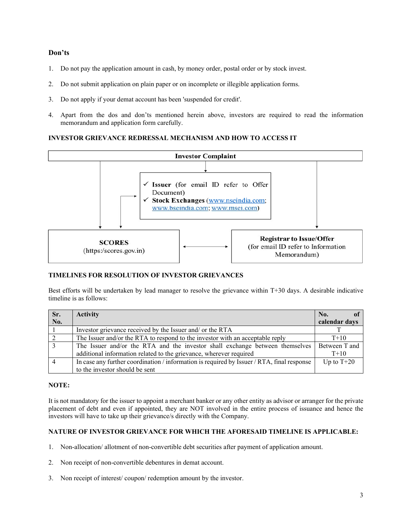## **Don'ts**

- 1. Do not pay the application amount in cash, by money order, postal order or by stock invest.
- 2. Do not submit application on plain paper or on incomplete or illegible application forms.
- 3. Do not apply if your demat account has been 'suspended for credit'.
- 4. Apart from the dos and don'ts mentioned herein above, investors are required to read the information memorandum and application form carefully.

# **INVESTOR GRIEVANCE REDRESSAL MECHANISM AND HOW TO ACCESS IT**



# **TIMELINES FOR RESOLUTION OF INVESTOR GRIEVANCES**

Best efforts will be undertaken by lead manager to resolve the grievance within T+30 days. A desirable indicative timeline is as follows:

| Sr. | <b>Activity</b>                                                                            | No.           |
|-----|--------------------------------------------------------------------------------------------|---------------|
| No. |                                                                                            | calendar days |
|     | Investor grievance received by the Issuer and/ or the RTA                                  |               |
|     | The Issuer and/or the RTA to respond to the investor with an acceptable reply              | $T+10$        |
|     | The Issuer and/or the RTA and the investor shall exchange between themselves               | Between T and |
|     | additional information related to the grievance, wherever required                         | $T+10$        |
|     | In case any further coordination / information is required by Issuer / RTA, final response | Up to $T+20$  |
|     | to the investor should be sent                                                             |               |

#### **NOTE:**

It is not mandatory for the issuer to appoint a merchant banker or any other entity as advisor or arranger for the private placement of debt and even if appointed, they are NOT involved in the entire process of issuance and hence the investors will have to take up their grievance/s directly with the Company.

#### **NATURE OF INVESTOR GRIEVANCE FOR WHICH THE AFORESAID TIMELINE IS APPLICABLE:**

- 1. Non-allocation/ allotment of non-convertible debt securities after payment of application amount.
- 2. Non receipt of non-convertible debentures in demat account.
- 3. Non receipt of interest/ coupon/ redemption amount by the investor.